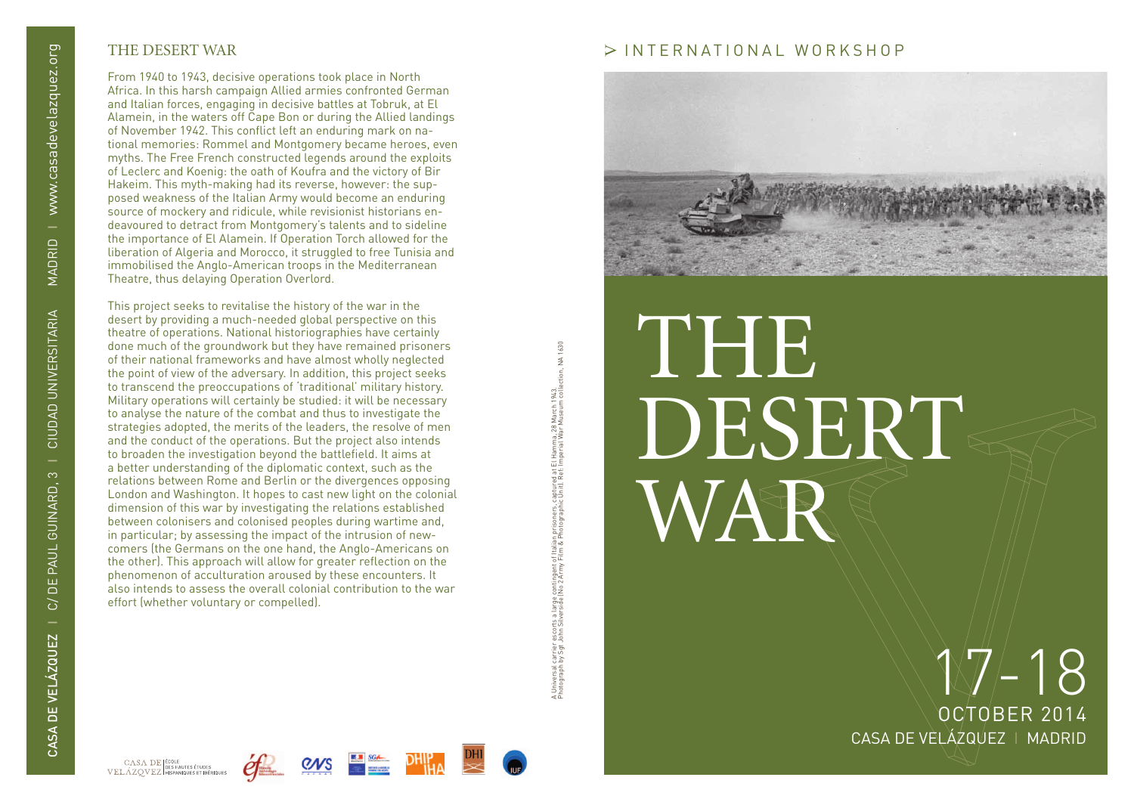## THE DESERT WAR

From 1940 to 1943, decisive operations took place in North Africa. In this harsh campaign Allied armies confronted German and Italian forces, engaging in decisive battles at Tobruk, at El Alamein, in the waters off Cape Bon or during the Allied landings of November 1942. This conflict left an enduring mark on na tional memories: Rommel and Montgomery became heroes, even myths. The Free French constructed legends around the exploits of Leclerc and Koenig: the oath of Koufra and the victory of Bir Hakeim. This myth-making had its reverse, however: the sup posed weakness of the Italian Army would become an enduring source of mockery and ridicule, while revisionist historians en deavoured to detract from Montgomery's talents and to sideline the importance of El Alamein. If Operation Torch allowed for the liberation of Algeria and Morocco, it struggled to free Tunisia and immobilised the Anglo-American troops in the Mediterranean Theatre, thus delaying Operation Overlord.

This project seeks to revitalise the history of the war in the desert by providing a much-needed global perspective on this theatre of operations. National historiographies have certainly done much of the groundwork but they have remained prisoners of their national frameworks and have almost wholly neglected the point of view of the adversary. In addition, this project seeks to transcend the preoccupations of 'traditional' military history. Military operations will certainly be studied: it will be necessary to analyse the nature of the combat and thus to investigate the strategies adopted, the merits of the leaders, the resolve of men and the conduct of the operations. But the project also intends to broaden the investigation beyond the battlefield. It aims at a better understanding of the diplomatic context, such as the relations between Rome and Berlin or the divergences opposing London and Washington. It hopes to cast new light on the colonial dimension of this war by investigating the relations established between colonisers and colonised peoples during wartime and, in particular; by assessing the impact of the intrusion of new comers (the Germans on the one hand, the Anglo-Americans on the other). This approach will allow for greater reflection on the phenomenon of acculturation aroused by these encounters. It also intends to assess the overall colonial contribution to the war effort (whether voluntary or compelled).

ction, NA 1630 Photograph by Sgt John Silverside (No 2 Army Film & Photographic Unit). Ref: Imperial War Museum collection, NA 1630 A Universal carrier escorts a large contingent of Italian prisoners, captured at El Hamma, 28 March 1943. , Universal carrier escorts a large contingent of Italian prisoners, captured at El Hamma, 28 March 1943.<br>Photograph by Sgt John Silverside (No 2 Army Film & Photographic Unit). Ref: Imperial War Museum coll

## INTERNATIONAL WORKSHOP



# THE DESERT WAR

CA SA DE VELÁZQUEZ I MADRID OCTOBER 2014  $17-18$